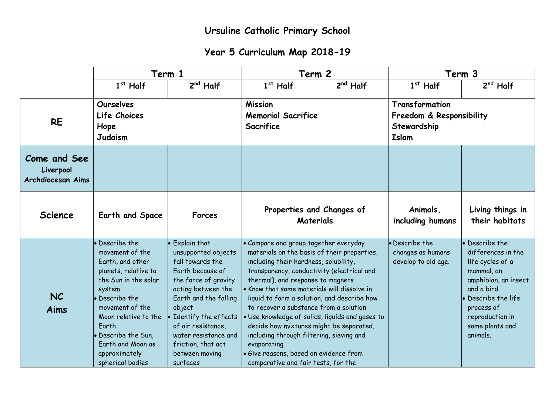## **Year 5 Curriculum Map 2018-19**

|                                                | Term 1                                                                                                                                                                                                                                                                 |                                                                                                                                                                                                                                                                                        | Term 2                                                                                                                                                                                                                                                                                                                                                                                                                                                                                                                                          |                                                 | Term 3                                                                    |                                                                                                                                                                                                   |
|------------------------------------------------|------------------------------------------------------------------------------------------------------------------------------------------------------------------------------------------------------------------------------------------------------------------------|----------------------------------------------------------------------------------------------------------------------------------------------------------------------------------------------------------------------------------------------------------------------------------------|-------------------------------------------------------------------------------------------------------------------------------------------------------------------------------------------------------------------------------------------------------------------------------------------------------------------------------------------------------------------------------------------------------------------------------------------------------------------------------------------------------------------------------------------------|-------------------------------------------------|---------------------------------------------------------------------------|---------------------------------------------------------------------------------------------------------------------------------------------------------------------------------------------------|
|                                                | $1st$ Half                                                                                                                                                                                                                                                             | $2nd$ Half                                                                                                                                                                                                                                                                             | $1st$ Half                                                                                                                                                                                                                                                                                                                                                                                                                                                                                                                                      | $2^{nd}$ Half                                   | $1st$ Half                                                                | $2nd$ Half                                                                                                                                                                                        |
| <b>RE</b>                                      | <b>Ourselves</b><br>Life Choices<br>Hope<br><b>Judaism</b>                                                                                                                                                                                                             |                                                                                                                                                                                                                                                                                        | <b>Mission</b><br><b>Memorial Sacrifice</b><br>Sacrifice                                                                                                                                                                                                                                                                                                                                                                                                                                                                                        |                                                 | Transformation<br>Freedom & Responsibility<br>Stewardship<br><b>Islam</b> |                                                                                                                                                                                                   |
| Come and See<br>Liverpool<br>Archdiocesan Aims |                                                                                                                                                                                                                                                                        |                                                                                                                                                                                                                                                                                        |                                                                                                                                                                                                                                                                                                                                                                                                                                                                                                                                                 |                                                 |                                                                           |                                                                                                                                                                                                   |
| <b>Science</b>                                 | Earth and Space                                                                                                                                                                                                                                                        | <b>Forces</b>                                                                                                                                                                                                                                                                          |                                                                                                                                                                                                                                                                                                                                                                                                                                                                                                                                                 | Properties and Changes of<br><b>Materials</b>   | Animals,<br>including humans                                              | Living things in<br>their habitats                                                                                                                                                                |
| <b>NC</b><br>Aims                              | • Describe the<br>movement of the<br>Earth, and other<br>planets, relative to<br>the Sun in the solar<br>system<br>• Describe the<br>movement of the<br>Moon relative to the<br>Earth<br>• Describe the Sun,<br>Earth and Moon as<br>approximately<br>spherical bodies | Explain that<br>unsupported objects<br>fall towards the<br>Earth because of<br>the force of gravity<br>acting between the<br>Earth and the falling<br>object<br>Identify the effects<br>of air resistance,<br>water resistance and<br>friction, that act<br>between moving<br>surfaces | • Compare and group together everyday<br>materials on the basis of their properties,<br>including their hardness, solubility,<br>transparency, conductivity (electrical and<br>thermal), and response to magnets<br>• Know that some materials will dissolve in<br>liquid to form a solution, and describe how<br>to recover a substance from a solution<br>decide how mixtures might be separated,<br>including through filtering, sieving and<br>evaporating<br>· Give reasons, based on evidence from<br>comparative and fair tests, for the | · Use knowledge of solids, liquids and gases to | • Describe the<br>changes as humans<br>develop to old age.                | • Describe the<br>differences in the<br>life cycles of a<br>mammal, an<br>amphibian, an insect<br>and a bird<br>Describe the life<br>process of<br>reproduction in<br>some plants and<br>animals. |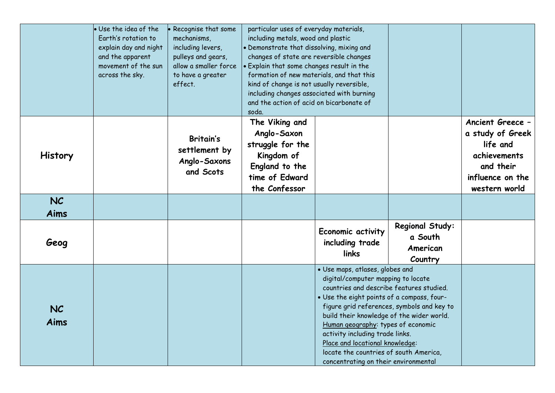|                   | · Use the idea of the<br>Earth's rotation to<br>explain day and night<br>and the apparent<br>movement of the sun<br>across the sky. | Recognise that some<br>mechanisms,<br>including levers,<br>pulleys and gears,<br>allow a smaller force<br>to have a greater<br>effect. | particular uses of everyday materials,<br>including metals, wood and plastic<br>· Demonstrate that dissolving, mixing and<br>changes of state are reversible changes<br>. Explain that some changes result in the<br>formation of new materials, and that this<br>kind of change is not usually reversible,<br>including changes associated with burning<br>and the action of acid on bicarbonate of<br>soda. |                                                                                                                                                                                                                                                                                                                                                                                                                                                          |                                                   |                                                                                                                    |
|-------------------|-------------------------------------------------------------------------------------------------------------------------------------|----------------------------------------------------------------------------------------------------------------------------------------|---------------------------------------------------------------------------------------------------------------------------------------------------------------------------------------------------------------------------------------------------------------------------------------------------------------------------------------------------------------------------------------------------------------|----------------------------------------------------------------------------------------------------------------------------------------------------------------------------------------------------------------------------------------------------------------------------------------------------------------------------------------------------------------------------------------------------------------------------------------------------------|---------------------------------------------------|--------------------------------------------------------------------------------------------------------------------|
| <b>History</b>    |                                                                                                                                     | <b>Britain's</b><br>settlement by<br>Anglo-Saxons<br>and Scots                                                                         | The Viking and<br>Anglo-Saxon<br>struggle for the<br>Kingdom of<br>England to the<br>time of Edward<br>the Confessor                                                                                                                                                                                                                                                                                          |                                                                                                                                                                                                                                                                                                                                                                                                                                                          |                                                   | Ancient Greece -<br>a study of Greek<br>life and<br>achievements<br>and their<br>influence on the<br>western world |
| <b>NC</b>         |                                                                                                                                     |                                                                                                                                        |                                                                                                                                                                                                                                                                                                                                                                                                               |                                                                                                                                                                                                                                                                                                                                                                                                                                                          |                                                   |                                                                                                                    |
| Aims              |                                                                                                                                     |                                                                                                                                        |                                                                                                                                                                                                                                                                                                                                                                                                               |                                                                                                                                                                                                                                                                                                                                                                                                                                                          |                                                   |                                                                                                                    |
| Geog              |                                                                                                                                     |                                                                                                                                        |                                                                                                                                                                                                                                                                                                                                                                                                               | Economic activity<br>including trade<br>links                                                                                                                                                                                                                                                                                                                                                                                                            | Regional Study:<br>a South<br>American<br>Country |                                                                                                                    |
| <b>NC</b><br>Aims |                                                                                                                                     |                                                                                                                                        |                                                                                                                                                                                                                                                                                                                                                                                                               | · Use maps, atlases, globes and<br>digital/computer mapping to locate<br>countries and describe features studied.<br>. Use the eight points of a compass, four-<br>figure grid references, symbols and key to<br>build their knowledge of the wider world.<br>Human geography: types of economic<br>activity including trade links.<br>Place and locational knowledge:<br>locate the countries of south America,<br>concentrating on their environmental |                                                   |                                                                                                                    |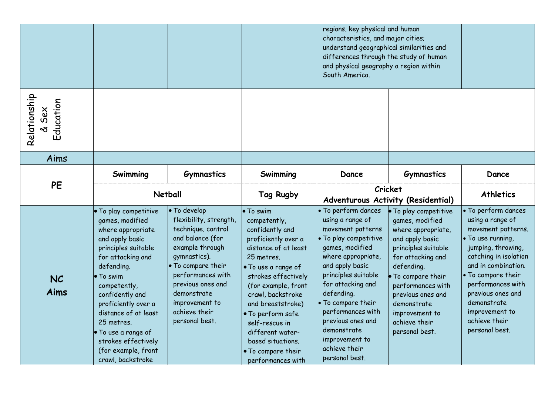|                                    |                                                                                                                                                                                                                                                                                                       |                                                                                                                                                                                                                                                         |                                                                                                                                                                                                                                                                                                          | regions, key physical and human<br>characteristics, and major cities;<br>understand geographical similarities and<br>differences through the study of human<br>and physical geography a region within<br>South America.                                                                                      |                                                                                                                                                                                                                                                                             |                                                                                                                                                                                                                                                                                              |
|------------------------------------|-------------------------------------------------------------------------------------------------------------------------------------------------------------------------------------------------------------------------------------------------------------------------------------------------------|---------------------------------------------------------------------------------------------------------------------------------------------------------------------------------------------------------------------------------------------------------|----------------------------------------------------------------------------------------------------------------------------------------------------------------------------------------------------------------------------------------------------------------------------------------------------------|--------------------------------------------------------------------------------------------------------------------------------------------------------------------------------------------------------------------------------------------------------------------------------------------------------------|-----------------------------------------------------------------------------------------------------------------------------------------------------------------------------------------------------------------------------------------------------------------------------|----------------------------------------------------------------------------------------------------------------------------------------------------------------------------------------------------------------------------------------------------------------------------------------------|
| Relationship<br>Education<br>& Sex |                                                                                                                                                                                                                                                                                                       |                                                                                                                                                                                                                                                         |                                                                                                                                                                                                                                                                                                          |                                                                                                                                                                                                                                                                                                              |                                                                                                                                                                                                                                                                             |                                                                                                                                                                                                                                                                                              |
| Aims                               |                                                                                                                                                                                                                                                                                                       |                                                                                                                                                                                                                                                         |                                                                                                                                                                                                                                                                                                          |                                                                                                                                                                                                                                                                                                              |                                                                                                                                                                                                                                                                             |                                                                                                                                                                                                                                                                                              |
|                                    | Swimming                                                                                                                                                                                                                                                                                              | <b>Gymnastics</b>                                                                                                                                                                                                                                       | Swimming                                                                                                                                                                                                                                                                                                 | Dance                                                                                                                                                                                                                                                                                                        | <b>Gymnastics</b>                                                                                                                                                                                                                                                           | Dance                                                                                                                                                                                                                                                                                        |
| <b>PE</b>                          | <b>Netball</b>                                                                                                                                                                                                                                                                                        |                                                                                                                                                                                                                                                         | Tag Rugby                                                                                                                                                                                                                                                                                                | Cricket<br>Adventurous Activity (Residential)                                                                                                                                                                                                                                                                |                                                                                                                                                                                                                                                                             | <b>Athletics</b>                                                                                                                                                                                                                                                                             |
| <b>NC</b><br><b>Aims</b>           | . To play competitive<br>games, modified<br>where appropriate<br>and apply basic<br>principles suitable<br>for attacking and<br>defending.<br>• To swim<br>competently,<br>confidently and<br>proficiently over a<br>distance of at least<br>25 metres.<br>. To use a range of<br>strokes effectively | • To develop<br>flexibility, strength,<br>technique, control<br>and balance (for<br>example through<br>gymnastics).<br>• To compare their<br>performances with<br>previous ones and<br>demonstrate<br>improvement to<br>achieve their<br>personal best. | • To swim<br>competently,<br>confidently and<br>proficiently over a<br>distance of at least<br>25 metres.<br>• To use a range of<br>strokes effectively<br>(for example, front<br>crawl, backstroke<br>and breaststroke)<br>· To perform safe<br>self-rescue in<br>different water-<br>based situations. | • To perform dances<br>using a range of<br>movement patterns<br>• To play competitive<br>games, modified<br>where appropriate,<br>and apply basic<br>principles suitable<br>for attacking and<br>defending.<br>• To compare their<br>performances with<br>previous ones and<br>demonstrate<br>improvement to | To play competitive<br>games, modified<br>where appropriate,<br>and apply basic<br>principles suitable<br>for attacking and<br>defending.<br>To compare their<br>performances with<br>previous ones and<br>demonstrate<br>improvement to<br>achieve their<br>personal best. | · To perform dances<br>using a range of<br>movement patterns.<br>. To use running,<br>jumping, throwing,<br>catching in isolation<br>and in combination.<br>• To compare their<br>performances with<br>previous ones and<br>demonstrate<br>improvement to<br>achieve their<br>personal best. |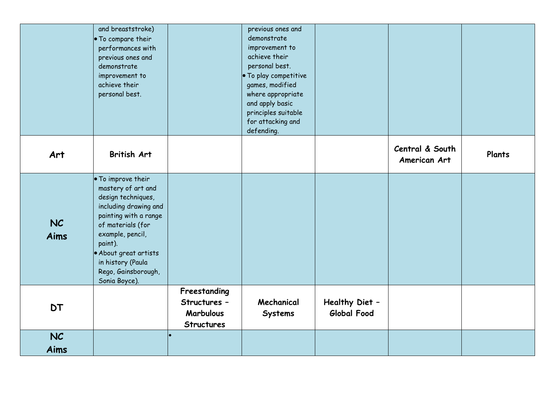|                   | and breaststroke)<br>• To compare their<br>performances with<br>previous ones and<br>demonstrate<br>improvement to<br>achieve their<br>personal best.                                                                                                      |                                                                       | previous ones and<br>demonstrate<br>improvement to<br>achieve their<br>personal best.<br>. To play competitive<br>games, modified<br>where appropriate<br>and apply basic<br>principles suitable<br>for attacking and<br>defending. |                               |                                 |        |
|-------------------|------------------------------------------------------------------------------------------------------------------------------------------------------------------------------------------------------------------------------------------------------------|-----------------------------------------------------------------------|-------------------------------------------------------------------------------------------------------------------------------------------------------------------------------------------------------------------------------------|-------------------------------|---------------------------------|--------|
| Art               | <b>British Art</b>                                                                                                                                                                                                                                         |                                                                       |                                                                                                                                                                                                                                     |                               | Central & South<br>American Art | Plants |
| NC<br><b>Aims</b> | . To improve their<br>mastery of art and<br>design techniques,<br>including drawing and<br>painting with a range<br>of materials (for<br>example, pencil,<br>paint).<br>• About great artists<br>in history (Paula<br>Rego, Gainsborough,<br>Sonia Boyce). |                                                                       |                                                                                                                                                                                                                                     |                               |                                 |        |
| <b>DT</b>         |                                                                                                                                                                                                                                                            | Freestanding<br>Structures -<br><b>Marbulous</b><br><b>Structures</b> | Mechanical<br><b>Systems</b>                                                                                                                                                                                                        | Healthy Diet -<br>Global Food |                                 |        |
| NC<br>Aims        |                                                                                                                                                                                                                                                            |                                                                       |                                                                                                                                                                                                                                     |                               |                                 |        |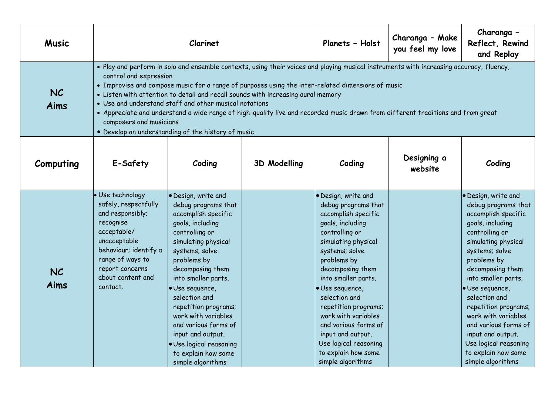| <b>Music</b>      | Clarinet                                                                                                                                                                                                                                                                                                                                                                                                                                                                                                                                                                                                                                  |                                                                                                                                                                                                                                                                                                                                                                                                                   |                     | Planets - Holst                                                                                                                                                                                                                                                                                                                                                                                                 | Charanga - Make<br>you feel my love | Charanga -<br>Reflect, Rewind<br>and Replay                                                                                                                                                                                                                                                                                                                                                                   |  |  |
|-------------------|-------------------------------------------------------------------------------------------------------------------------------------------------------------------------------------------------------------------------------------------------------------------------------------------------------------------------------------------------------------------------------------------------------------------------------------------------------------------------------------------------------------------------------------------------------------------------------------------------------------------------------------------|-------------------------------------------------------------------------------------------------------------------------------------------------------------------------------------------------------------------------------------------------------------------------------------------------------------------------------------------------------------------------------------------------------------------|---------------------|-----------------------------------------------------------------------------------------------------------------------------------------------------------------------------------------------------------------------------------------------------------------------------------------------------------------------------------------------------------------------------------------------------------------|-------------------------------------|---------------------------------------------------------------------------------------------------------------------------------------------------------------------------------------------------------------------------------------------------------------------------------------------------------------------------------------------------------------------------------------------------------------|--|--|
| <b>NC</b><br>Aims | . Play and perform in solo and ensemble contexts, using their voices and playing musical instruments with increasing accuracy, fluency,<br>control and expression<br>• Improvise and compose music for a range of purposes using the inter-related dimensions of music<br>• Listen with attention to detail and recall sounds with increasing aural memory<br>• Use and understand staff and other musical notations<br>. Appreciate and understand a wide range of high-quality live and recorded music drawn from different traditions and from great<br>composers and musicians<br>. Develop an understanding of the history of music. |                                                                                                                                                                                                                                                                                                                                                                                                                   |                     |                                                                                                                                                                                                                                                                                                                                                                                                                 |                                     |                                                                                                                                                                                                                                                                                                                                                                                                               |  |  |
| Computing         | E-Safety                                                                                                                                                                                                                                                                                                                                                                                                                                                                                                                                                                                                                                  | Coding                                                                                                                                                                                                                                                                                                                                                                                                            | <b>3D Modelling</b> | Coding                                                                                                                                                                                                                                                                                                                                                                                                          | Designing a<br>website              | Coding                                                                                                                                                                                                                                                                                                                                                                                                        |  |  |
| <b>NC</b><br>Aims | · Use technology<br>safely, respectfully<br>and responsibly;<br>recognise<br>acceptable/<br>unacceptable<br>behaviour; identify a<br>range of ways to<br>report concerns<br>about content and<br>contact.                                                                                                                                                                                                                                                                                                                                                                                                                                 | · Design, write and<br>debug programs that<br>accomplish specific<br>goals, including<br>controlling or<br>simulating physical<br>systems; solve<br>problems by<br>decomposing them<br>into smaller parts.<br>· Use sequence,<br>selection and<br>repetition programs;<br>work with variables<br>and various forms of<br>input and output.<br>· Use logical reasoning<br>to explain how some<br>simple algorithms |                     | · Design, write and<br>debug programs that<br>accomplish specific<br>goals, including<br>controlling or<br>simulating physical<br>systems; solve<br>problems by<br>decomposing them<br>into smaller parts.<br>· Use sequence,<br>selection and<br>repetition programs;<br>work with variables<br>and various forms of<br>input and output.<br>Use logical reasoning<br>to explain how some<br>simple algorithms |                                     | · Design, write and<br>debug programs that<br>accomplish specific<br>goals, including<br>controlling or<br>simulating physical<br>systems; solve<br>problems by<br>decomposing them<br>into smaller parts.<br>Use sequence,<br>selection and<br>repetition programs;<br>work with variables<br>and various forms of<br>input and output.<br>Use logical reasoning<br>to explain how some<br>simple algorithms |  |  |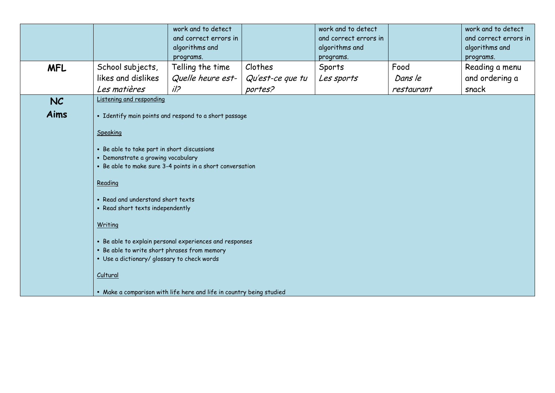|            |                                              | work and to detect                                                   |                  | work and to detect                      |            | work and to detect                      |  |  |
|------------|----------------------------------------------|----------------------------------------------------------------------|------------------|-----------------------------------------|------------|-----------------------------------------|--|--|
|            |                                              | and correct errors in<br>algorithms and                              |                  | and correct errors in<br>algorithms and |            | and correct errors in<br>algorithms and |  |  |
|            |                                              | programs.                                                            |                  | programs.                               |            | programs.                               |  |  |
| <b>MFL</b> | School subjects,                             | Telling the time                                                     | Clothes          | Sports                                  | Food       | Reading a menu                          |  |  |
|            | likes and dislikes                           | Quelle heure est-                                                    | Qu'est-ce que tu | Les sports                              | Dans le    | and ordering a                          |  |  |
|            | Les matières                                 | i/2                                                                  | portes?          |                                         | restaurant | snack                                   |  |  |
| NC         | Listening and responding                     |                                                                      |                  |                                         |            |                                         |  |  |
| Aims       |                                              | • Identify main points and respond to a short passage                |                  |                                         |            |                                         |  |  |
|            | Speaking                                     |                                                                      |                  |                                         |            |                                         |  |  |
|            | • Be able to take part in short discussions  |                                                                      |                  |                                         |            |                                         |  |  |
|            | • Demonstrate a growing vocabulary           | • Be able to make sure 3-4 points in a short conversation            |                  |                                         |            |                                         |  |  |
|            |                                              |                                                                      |                  |                                         |            |                                         |  |  |
|            | Reading                                      |                                                                      |                  |                                         |            |                                         |  |  |
|            | • Read and understand short texts            |                                                                      |                  |                                         |            |                                         |  |  |
|            | • Read short texts independently             |                                                                      |                  |                                         |            |                                         |  |  |
|            | Writing                                      |                                                                      |                  |                                         |            |                                         |  |  |
|            |                                              | • Be able to explain personal experiences and responses              |                  |                                         |            |                                         |  |  |
|            | . Be able to write short phrases from memory |                                                                      |                  |                                         |            |                                         |  |  |
|            | • Use a dictionary/ glossary to check words  |                                                                      |                  |                                         |            |                                         |  |  |
|            | Cultural                                     |                                                                      |                  |                                         |            |                                         |  |  |
|            |                                              | • Make a comparison with life here and life in country being studied |                  |                                         |            |                                         |  |  |